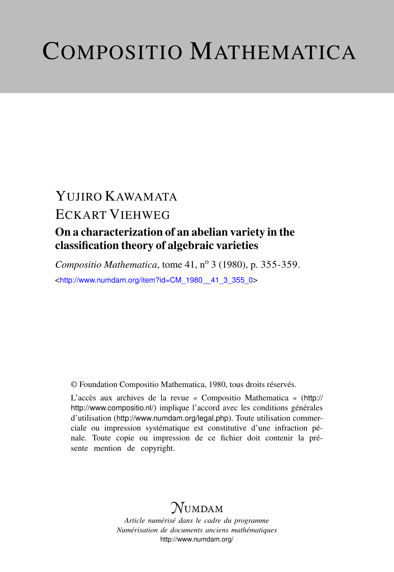# COMPOSITIO MATHEMATICA

## YUJIRO KAWAMATA ECKART VIEHWEG On a characterization of an abelian variety in the classification theory of algebraic varieties

*Compositio Mathematica*, tome 41, n<sup>o</sup> 3 (1980), p. 355-359.

<[http://www.numdam.org/item?id=CM\\_1980\\_\\_41\\_3\\_355\\_0](http://www.numdam.org/item?id=CM_1980__41_3_355_0)>

© Foundation Compositio Mathematica, 1980, tous droits réservés.

L'accès aux archives de la revue « Compositio Mathematica » ([http://](http://http://www.compositio.nl/) [http://www.compositio.nl/](http://http://www.compositio.nl/)) implique l'accord avec les conditions générales d'utilisation (<http://www.numdam.org/legal.php>). Toute utilisation commerciale ou impression systématique est constitutive d'une infraction pénale. Toute copie ou impression de ce fichier doit contenir la présente mention de copyright.

### **NUMDAM**

*Article numérisé dans le cadre du programme Numérisation de documents anciens mathématiques* <http://www.numdam.org/>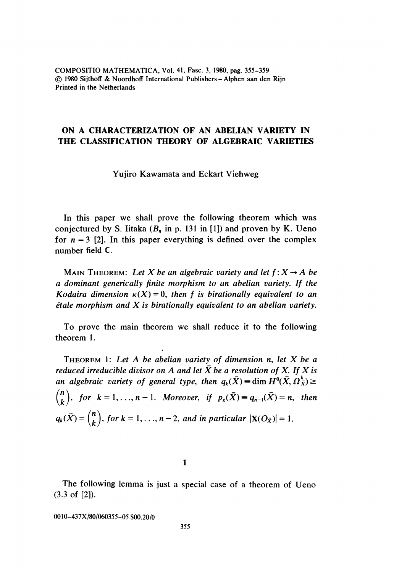COMPOSITIO MATHEMATICA, Vol. 41, Fasc. 3, 1980, pag. 355-359 © 1980 Sijthoff & Noordhoff International Publishers - Alphen aan den Rijn Printed in the Netherlands

#### ON A CHARACTERIZATION OF AN ABELIAN VARIETY IN THE CLASSIFICATION THEORY OF ALGEBRAIC VARIETIES

Yujiro Kawamata and Eckart Viehweg

In this paper we shall prove the following theorem which was conjectured by S. Iitaka  $(B_n \text{ in } p. 131 \text{ in } [1])$  and proven by K. Ueno for  $n = 3$  [2]. In this paper everything is defined over the complex number field C.

MAIN THEOREM: Let X be an algebraic variety and let  $f: X \rightarrow A$  be a dominant generically finite morphism to an abelian variety. If the Kodaira dimension  $\kappa(X) = 0$ , then f is birationally equivalent to an *étale morphism and X is birationally equivalent to an abelian variety.* 

To prove the main theorem we shall reduce it to the following theorem 1.

THEOREM 1: Let  $A$  be abelian variety of dimension n, let  $X$  be a reduced irreducible divisor on A and let  $\bar{X}$  be a resolution of X. If X is an algebraic variety of general type, then  $q_k(\bar{X}) = \dim H^0(\bar{X}, \Omega_{\bar{X}}^k) \geq$  $\binom{n}{k}$ , for  $k = 1, ..., n - 1$ . Moreover, if  $p_g(\bar{X}) = q_{n-1}(\bar{X}) = n$ , then  $q_k(\bar{X}) = {n \choose k}$ , for  $k = 1, ..., n - 2$ , and in particular  $|\mathbf{X}(O_{\bar{X}})| = 1$ .

1

The following lemma is just a special case of a theorem of Ueno (3.3 of [2]).

0010-437X/80/060355-05 \$00.20/0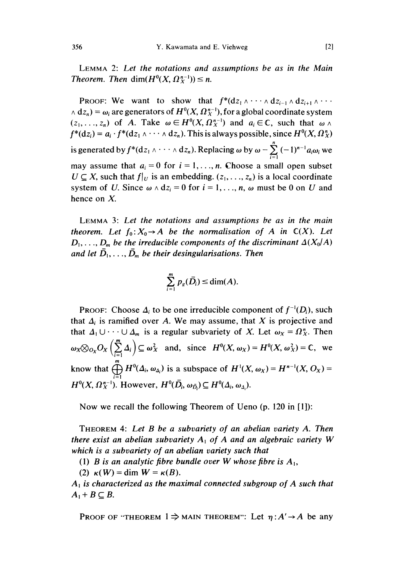LEMMA 2: Let the notations and assumptions be as in the Main Theorem. Then dim $(H^0(X, \Omega_X^{n-1})) \leq n$ .

**PROOF:** We want to show that  $f^*(dz_1 \wedge \cdots \wedge dz_{i-1} \wedge dz_{i+1} \wedge \cdots$  $\Delta$  dz<sub>n</sub>) =  $\omega_i$  are generators of  $H^0(X, \Omega_X^{n-1})$ , for a global coordinate system  $(z_1, \ldots, z_n)$  of A. Take  $\omega \in H^0(X, \Omega_X^{n-1})$  and  $a_i \in \mathbb{C}$ , such that  $\omega \wedge$  $f^*(dz_i) = a_i \cdot f^*(dz_1 \wedge \cdots \wedge dz_n)$ . This is always possible, since  $H^0(X, \Omega_X^n)$ is generated by  $f^*(dz_1 \wedge \cdots \wedge dz_n)$ . Replacing  $\omega$  by  $\omega - \sum_{i=1}^n (-1)^{n-1} a_i \omega_i$  we may assume that  $a_i = 0$  for  $i = 1, ..., n$ . Choose a small open subset  $U \subseteq X$ , such that  $f|_U$  is an embedding.  $(z_1, \ldots, z_n)$  is a local coordinate system of U. Since  $\omega \wedge dz_i = 0$  for  $i = 1, \ldots, n$ ,  $\omega$  must be 0 on U and hence on X.

LEMMA 3: Let the notations and assumptions be as in the main theorem. Let  $f_0: X_0 \to A$  be the normalisation of A in  $C(X)$ . Let  $D_1, \ldots, D_m$  be the irreducible components of the discriminant  $\Delta(X_0/A)$ and let  $\bar{D}_1, \ldots, \bar{D}_m$  be their desingularisations. Then

$$
\sum_{i=1}^m p_g(\bar{D}_i) \leq \dim(A).
$$

PROOF: Choose  $\Delta_i$  to be one irreducible component of  $f^{-1}(D_i)$ , such that  $\Delta_i$  is ramified over A. We may assume, that X is projective and that  $\Delta_1 \cup \cdots \cup \Delta_m$  is a regular subvariety of X. Let  $\omega_X = \Omega_X^n$ . Then  $\omega_X \otimes_{O_X} O_X \left(\sum_{i=1}^m \Delta_i\right) \subseteq \omega_X^2$  and, since  $H^0(X, \omega_X) = H^0(X, \omega_X^2) = \mathbb{C}$ , we know that  $\bigoplus_{i=1}^{m} H^{0}(\Delta_{i}, \omega_{\Delta_{i}})$  is a subspace of  $H^{1}(X, \omega_{X}) = H^{n-1}(X, O_{X}) =$  $H^0(X, \Omega_X^{n-1})$ . However,  $H^0(\overline{D}_i, \omega_{\overline{D}_i}) \subseteq H^0(\Delta_i, \omega_{\Delta_i}).$ 

Now we recall the following Theorem of Ueno (p. 120 in [1]):

THEOREM 4: Let B be a subvariety of an abelian variety A. Then there exist an abelian subvariety  $A_1$  of A and an algebraic variety W which is a subvariety of an abelian variety such that

(1) B is an analytic fibre bundle over W whose fibre is  $A_1$ ,

(2)  $\kappa(W) = \dim W = \kappa(B)$ .

 $A_1$  is characterized as the maximal connected subgroup of A such that  $A_1 + B \subseteq B$ .

PROOF OF "THEOREM  $1 \Rightarrow$  MAIN THEOREM": Let  $\eta: A' \rightarrow A$  be any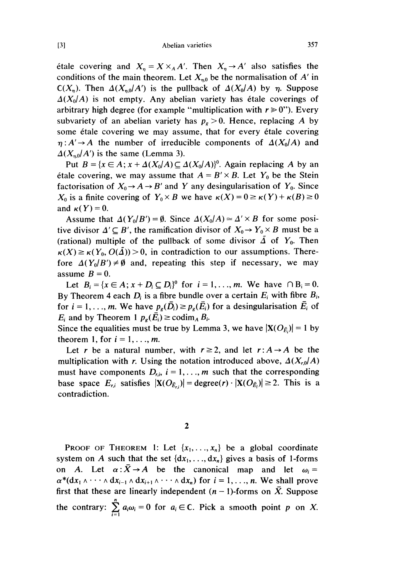Abelian varieties

étale covering and  $X_n = X \times_A A'$ . Then  $X_n \to A'$  also satisfies the conditions of the main theorem. Let  $X_{n,0}$  be the normalisation of A' in  $C(X_n)$ . Then  $\Delta(X_n|A')$  is the pullback of  $\Delta(X_0|A)$  by  $\eta$ . Suppose  $\Delta(X_0/A)$  is not empty. Any abelian variety has étale coverings of arbitrary high degree (for example "multiplication with  $r \ge 0$ "). Every subvariety of an abelian variety has  $p_g > 0$ . Hence, replacing A by some étale covering we may assume, that for every étale covering  $\eta: A' \to A$  the number of irreducible components of  $\Delta(X_0/A)$  and  $\Delta(X_{n,0}/A')$  is the same (Lemma 3).

Put  $B = \{x \in A : x + \Delta(X_0/A) \subseteq \Delta(X_0/A)\}^0$ . Again replacing A by an étale covering, we may assume that  $A = B' \times B$ . Let  $Y_0$  be the Stein factorisation of  $X_0 \rightarrow A \rightarrow B'$  and Y any desingularisation of  $Y_0$ . Since  $X_0$  is a finite covering of  $Y_0 \times B$  we have  $\kappa(X) = 0 \ge \kappa(Y) + \kappa(B) \ge 0$ and  $\kappa(Y)=0$ .

Assume that  $\Delta(Y_0/B') = \emptyset$ . Since  $\Delta(X_0/A) \approx \Delta' \times B$  for some positive divisor  $\Delta' \subseteq B'$ , the ramification divisor of  $X_0 \to Y_0 \times B$  must be a (rational) multiple of the pullback of some divisor  $\tilde{\Delta}$  of  $Y_0$ . Then  $\kappa(X) \geq \kappa(Y_0, O(\tilde{\Delta})) > 0$ , in contradiction to our assumptions. Therefore  $\Delta(Y_0|B') \neq \emptyset$  and, repeating this step if necessary, we may assume  $B = 0$ .

Let  $B_i = \{x \in A; x + D_i \subseteq D_i\}^0$  for  $i = 1, \ldots, m$ . We have  $\cap B_i = 0$ . By Theorem 4 each  $D_i$  is a fibre bundle over a certain  $E_i$  with fibre  $B_i$ , for  $i = 1, ..., m$ . We have  $p_e(\overline{D}_i) \ge p_e(\overline{E}_i)$  for a desingularisation  $\overline{E}_i$  of  $E_i$  and by Theorem 1  $p_e(\bar{E}_i) \ge \text{codim}_A B_i$ .

Since the equalities must be true by Lemma 3, we have  $|X(O_{\bar{E}})| = 1$  by theorem 1, for  $i = 1, \ldots, m$ .

Let r be a natural number, with  $r \ge 2$ , and let  $r: A \rightarrow A$  be the multiplication with r. Using the notation introduced above,  $\Delta(X_{r,0}/A)$ must have components  $D_{i,j}$ ,  $i = 1, \ldots, m$  such that the corresponding base space  $E_{ri}$  satisfies  $|\mathbf{X}(O_{\bar{E}_{ri}})| = \text{degree}(r) \cdot |\mathbf{X}(O_{\bar{E}_{i}})| \geq 2$ . This is a contradiction.

PROOF OF THEOREM 1: Let  $\{x_1, \ldots, x_n\}$  be a global coordinate system on A such that the set  $\{dx_1, \ldots, dx_n\}$  gives a basis of 1-forms on A. Let  $\alpha : \overline{X} \to A$  be the canonical map and let  $\omega_i =$  $\alpha^*(dx_1 \wedge \cdots \wedge dx_{i-1} \wedge dx_{i+1} \wedge \cdots \wedge dx_n)$  for  $i = 1, \ldots, n$ . We shall prove first that these are linearly independent  $(n - 1)$ -forms on  $\overline{X}$ . Suppose the contrary:  $\sum_{i=1}^{n} a_i \omega_i = 0$  for  $a_i \in \mathbb{C}$ . Pick a smooth point p on X.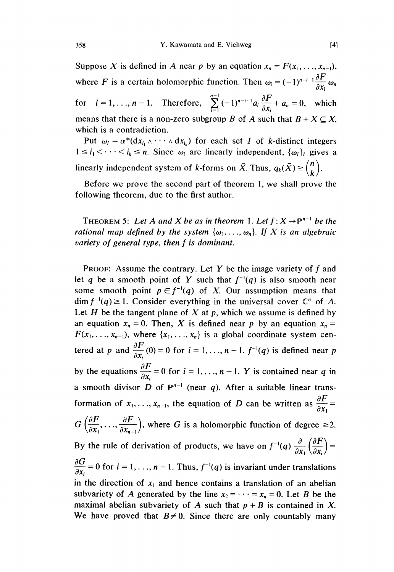Suppose X is defined in A near p by an equation  $x_n = F(x_1, \ldots, x_{n-1})$ , where *F* is a certain holomorphic function. Then  $\omega_i = (-1)^{n-i-1} \frac{\partial F}{\partial x_i} \omega_n$ 

for  $i = 1, ..., n-1$ . Therefore,  $\sum_{n=1}^{\infty} (-1)^{n-i-1} a_i \frac{1}{2x} + a_n = 0$ , which means that there is a non-zero subgroup B of A such that  $B + X \subseteq X$ , which is a contradiction.

Put  $\omega_I = \alpha^*(dx_{i_1} \wedge \cdots \wedge dx_{i_k})$  for each set I of k-distinct integers  $1 \le i_1 \le \cdots \le i_k \le n$ . Since  $\omega_i$  are linearly independent,  $\{\omega_i\}_i$  gives a linearly independent system of k-forms on  $\bar{X}$ . Thus,  $q_k(\bar{X}) \geq {n \choose k}$ .

Before we prove the second part of theorem 1, we shall prove the following theorem, due to the first author.

THEOREM 5: Let A and X be as in theorem 1. Let  $f: X \to \mathbb{P}^{n-1}$  be the rational map defined by the system  $\{\omega_1, \ldots, \omega_n\}$ . If X is an algebraic variety of general type, then f is dominant.

**PROOF:** Assume the contrary. Let Y be the image variety of  $f$  and let q be a smooth point of Y such that  $f^{-1}(q)$  is also smooth near some smooth point  $p \in f^{-1}(q)$  of X. Our assumption means that  $\dim f^{-1}(q) \geq 1$ . Consider everything in the universal cover  $\mathbb{C}^n$  of A. Let H be the tangent plane of X at p, which we assume is defined by an equation  $x_n = 0$ . Then, X is defined near p by an equation  $x_n = 0$  $F(x_1, \ldots, x_{n-1})$ , where  $\{x_1, \ldots, x_n\}$  is a global coordinate system centered at p and  $\frac{\partial F}{\partial x_i}(0) = 0$  for  $i = 1, ..., n-1$ .  $f^{-1}(q)$  is defined near p  $\frac{\partial F}{\partial t}$ by the equations  $\frac{\partial F}{\partial x_i} = 0$  for  $i = 1, ..., n-1$ . Y is contained near q in a smooth divisor D of  $P^{n-1}$  (near q). After a suitable linear transformation of  $x_1, \ldots, x_{n-1}$ , the equation of D can be written as  $\frac{\partial F}{\partial x_1} =$  $G\left(\frac{\partial F}{\partial x_1},\ldots,\frac{\partial F}{\partial x_n}\right)$ , where G is a holomorphic function of degree  $\geq 2$ . By the rule of derivation of products, we have on  $f^{-1}(q) \frac{\partial}{\partial x} \left( \frac{\partial F}{\partial x} \right) =$  $\frac{\partial G}{\partial x_i} = 0$  for  $i = 1, ..., n - 1$ . Thus,  $f^{-1}(q)$  is invariant under translations in the direction of  $x_1$  and hence contains a translation of an abelian subvariety of A generated by the line  $x_2 = \cdots = x_n = 0$ . Let B be the maximal abelian subvariety of A such that  $p + B$  is contained in X. We have proved that  $B \neq 0$ . Since there are only countably many